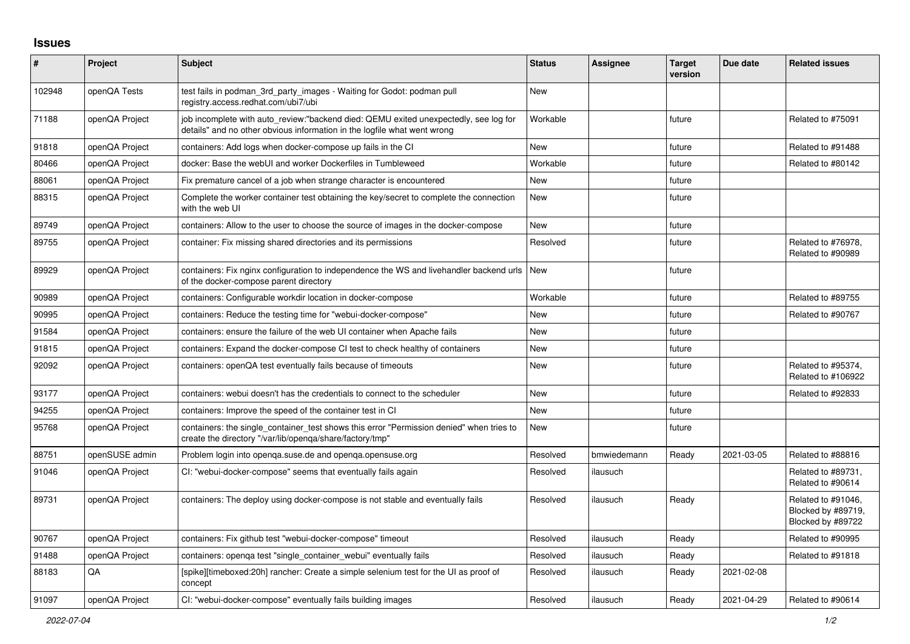## **Issues**

| #      | Project        | <b>Subject</b>                                                                                                                                                   | <b>Status</b> | Assignee    | <b>Target</b><br>version | Due date   | <b>Related issues</b>                                         |
|--------|----------------|------------------------------------------------------------------------------------------------------------------------------------------------------------------|---------------|-------------|--------------------------|------------|---------------------------------------------------------------|
| 102948 | openQA Tests   | test fails in podman_3rd_party_images - Waiting for Godot: podman pull<br>registry.access.redhat.com/ubi7/ubi                                                    | <b>New</b>    |             |                          |            |                                                               |
| 71188  | openQA Project | job incomplete with auto_review:"backend died: QEMU exited unexpectedly, see log for<br>details" and no other obvious information in the logfile what went wrong | Workable      |             | future                   |            | Related to #75091                                             |
| 91818  | openQA Project | containers: Add logs when docker-compose up fails in the CI                                                                                                      | New           |             | future                   |            | Related to #91488                                             |
| 80466  | openQA Project | docker: Base the webUI and worker Dockerfiles in Tumbleweed                                                                                                      | Workable      |             | future                   |            | Related to #80142                                             |
| 88061  | openQA Project | Fix premature cancel of a job when strange character is encountered                                                                                              | <b>New</b>    |             | future                   |            |                                                               |
| 88315  | openQA Project | Complete the worker container test obtaining the key/secret to complete the connection<br>with the web UI                                                        | <b>New</b>    |             | future                   |            |                                                               |
| 89749  | openQA Project | containers: Allow to the user to choose the source of images in the docker-compose                                                                               | <b>New</b>    |             | future                   |            |                                                               |
| 89755  | openQA Project | container: Fix missing shared directories and its permissions                                                                                                    | Resolved      |             | future                   |            | Related to #76978,<br>Related to #90989                       |
| 89929  | openQA Project | containers: Fix nginx configuration to independence the WS and livehandler backend urls   New<br>of the docker-compose parent directory                          |               |             | future                   |            |                                                               |
| 90989  | openQA Project | containers: Configurable workdir location in docker-compose                                                                                                      | Workable      |             | future                   |            | Related to #89755                                             |
| 90995  | openQA Project | containers: Reduce the testing time for "webui-docker-compose"                                                                                                   | <b>New</b>    |             | future                   |            | Related to #90767                                             |
| 91584  | openQA Project | containers: ensure the failure of the web UI container when Apache fails                                                                                         | <b>New</b>    |             | future                   |            |                                                               |
| 91815  | openQA Project | containers: Expand the docker-compose CI test to check healthy of containers                                                                                     | <b>New</b>    |             | future                   |            |                                                               |
| 92092  | openQA Project | containers: openQA test eventually fails because of timeouts                                                                                                     | <b>New</b>    |             | future                   |            | Related to #95374,<br>Related to #106922                      |
| 93177  | openQA Project | containers: webui doesn't has the credentials to connect to the scheduler                                                                                        | <b>New</b>    |             | future                   |            | Related to #92833                                             |
| 94255  | openQA Project | containers: Improve the speed of the container test in CI                                                                                                        | <b>New</b>    |             | future                   |            |                                                               |
| 95768  | openQA Project | containers: the single_container_test shows this error "Permission denied" when tries to<br>create the directory "/var/lib/openqa/share/factory/tmp"             | <b>New</b>    |             | future                   |            |                                                               |
| 88751  | openSUSE admin | Problem login into openqa.suse.de and openqa.opensuse.org                                                                                                        | Resolved      | bmwiedemann | Ready                    | 2021-03-05 | Related to #88816                                             |
| 91046  | openQA Project | CI: "webui-docker-compose" seems that eventually fails again                                                                                                     | Resolved      | ilausuch    |                          |            | Related to #89731,<br>Related to #90614                       |
| 89731  | openQA Project | containers: The deploy using docker-compose is not stable and eventually fails                                                                                   | Resolved      | ilausuch    | Ready                    |            | Related to #91046,<br>Blocked by #89719,<br>Blocked by #89722 |
| 90767  | openQA Project | containers: Fix github test "webui-docker-compose" timeout                                                                                                       | Resolved      | ilausuch    | Ready                    |            | Related to #90995                                             |
| 91488  | openQA Project | containers: openga test "single container webui" eventually fails                                                                                                | Resolved      | ilausuch    | Ready                    |            | Related to #91818                                             |
| 88183  | QA             | [spike][timeboxed:20h] rancher: Create a simple selenium test for the UI as proof of<br>concept                                                                  | Resolved      | ilausuch    | Ready                    | 2021-02-08 |                                                               |
| 91097  | openQA Project | CI: "webui-docker-compose" eventually fails building images                                                                                                      | Resolved      | ilausuch    | Ready                    | 2021-04-29 | Related to #90614                                             |